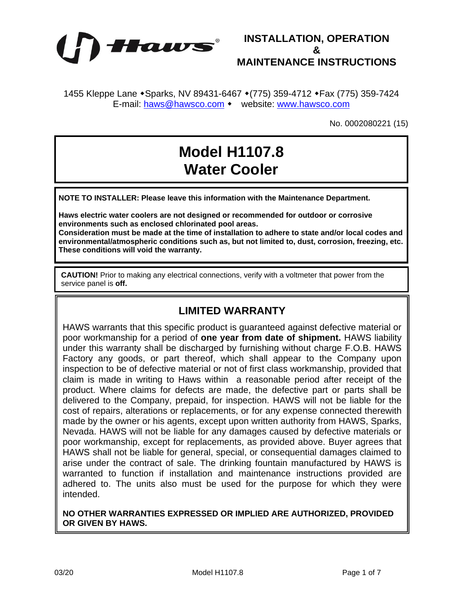



1455 Kleppe Lane • Sparks, NV 89431-6467 • (775) 359-4712 • Fax (775) 359-7424 E-mail: [haws@hawsco.com](mailto:haws@hawsco.com) • website: [www.hawsco.com](http://www.hawsco.com/)

No. 0002080221 (15)

# **Model H1107.8 Water Cooler**

**NOTE TO INSTALLER: Please leave this information with the Maintenance Department.**

**Haws electric water coolers are not designed or recommended for outdoor or corrosive environments such as enclosed chlorinated pool areas.**

**Consideration must be made at the time of installation to adhere to state and/or local codes and environmental/atmospheric conditions such as, but not limited to, dust, corrosion, freezing, etc. These conditions will void the warranty.**

**CAUTION!** Prior to making any electrical connections, verify with a voltmeter that power from the service panel is **off.**

### **LIMITED WARRANTY**

HAWS warrants that this specific product is guaranteed against defective material or poor workmanship for a period of **one year from date of shipment.** HAWS liability under this warranty shall be discharged by furnishing without charge F.O.B. HAWS Factory any goods, or part thereof, which shall appear to the Company upon inspection to be of defective material or not of first class workmanship, provided that claim is made in writing to Haws within a reasonable period after receipt of the product. Where claims for defects are made, the defective part or parts shall be delivered to the Company, prepaid, for inspection. HAWS will not be liable for the cost of repairs, alterations or replacements, or for any expense connected therewith made by the owner or his agents, except upon written authority from HAWS, Sparks, Nevada. HAWS will not be liable for any damages caused by defective materials or poor workmanship, except for replacements, as provided above. Buyer agrees that HAWS shall not be liable for general, special, or consequential damages claimed to arise under the contract of sale. The drinking fountain manufactured by HAWS is warranted to function if installation and maintenance instructions provided are adhered to. The units also must be used for the purpose for which they were intended.

**NO OTHER WARRANTIES EXPRESSED OR IMPLIED ARE AUTHORIZED, PROVIDED OR GIVEN BY HAWS.**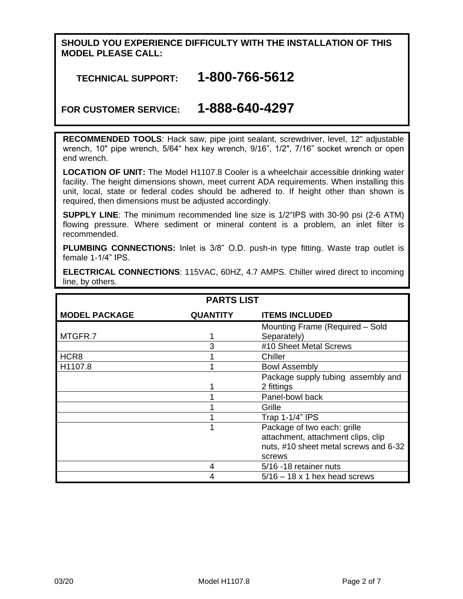#### **SHOULD YOU EXPERIENCE DIFFICULTY WITH THE INSTALLATION OF THIS MODEL PLEASE CALL:**

# **TECHNICAL SUPPORT: 1-800-766-5612**

# **FOR CUSTOMER SERVICE: 1-888-640-4297**

**RECOMMENDED TOOLS**: Hack saw, pipe joint sealant, screwdriver, level, 12" adjustable wrench, 10" pipe wrench, 5/64" hex key wrench, 9/16", 1/2", 7/16" socket wrench or open end wrench.

**LOCATION OF UNIT:** The Model H1107.8 Cooler is a wheelchair accessible drinking water facility. The height dimensions shown, meet current ADA requirements. When installing this unit, local, state or federal codes should be adhered to. If height other than shown is required, then dimensions must be adjusted accordingly.

**SUPPLY LINE**: The minimum recommended line size is 1/2"IPS with 30-90 psi (2-6 ATM) flowing pressure. Where sediment or mineral content is a problem, an inlet filter is recommended.

**PLUMBING CONNECTIONS:** Inlet is 3/8" O.D. push-in type fitting. Waste trap outlet is female 1-1/4" IPS.

| <b>PARTS LIST</b>    |                 |                                       |  |  |
|----------------------|-----------------|---------------------------------------|--|--|
|                      |                 |                                       |  |  |
| <b>MODEL PACKAGE</b> | <b>QUANTITY</b> | <b>ITEMS INCLUDED</b>                 |  |  |
|                      |                 | Mounting Frame (Required - Sold       |  |  |
| MTGFR.7              |                 | Separately)                           |  |  |
|                      | 3               | #10 Sheet Metal Screws                |  |  |
| HCR8                 |                 | Chiller                               |  |  |
| H1107.8              |                 | <b>Bowl Assembly</b>                  |  |  |
|                      |                 | Package supply tubing assembly and    |  |  |
|                      |                 | 2 fittings                            |  |  |
|                      |                 | Panel-bowl back                       |  |  |
|                      |                 | Grille                                |  |  |
|                      |                 | Trap 1-1/4" IPS                       |  |  |
|                      |                 | Package of two each: grille           |  |  |
|                      |                 | attachment, attachment clips, clip    |  |  |
|                      |                 | nuts, #10 sheet metal screws and 6-32 |  |  |
|                      |                 | screws                                |  |  |
|                      | 4               | 5/16 -18 retainer nuts                |  |  |
|                      |                 | $5/16 - 18 \times 1$ hex head screws  |  |  |

**ELECTRICAL CONNECTIONS**: 115VAC, 60HZ, 4.7 AMPS. Chiller wired direct to incoming line, by others.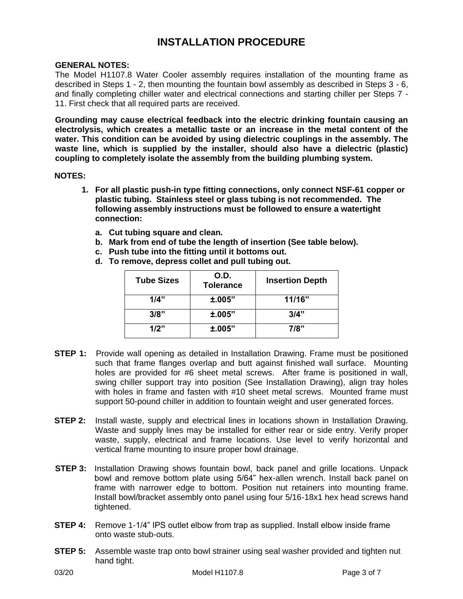# **INSTALLATION PROCEDURE**

#### **GENERAL NOTES:**

The Model H1107.8 Water Cooler assembly requires installation of the mounting frame as described in Steps 1 - 2, then mounting the fountain bowl assembly as described in Steps 3 - 6, and finally completing chiller water and electrical connections and starting chiller per Steps 7 - 11. First check that all required parts are received.

**Grounding may cause electrical feedback into the electric drinking fountain causing an electrolysis, which creates a metallic taste or an increase in the metal content of the water. This condition can be avoided by using dielectric couplings in the assembly. The waste line, which is supplied by the installer, should also have a dielectric (plastic) coupling to completely isolate the assembly from the building plumbing system.**

#### **NOTES:**

- **1. For all plastic push-in type fitting connections, only connect NSF-61 copper or plastic tubing. Stainless steel or glass tubing is not recommended. The following assembly instructions must be followed to ensure a watertight connection:**
	- **a. Cut tubing square and clean.**
	- **b. Mark from end of tube the length of insertion (See table below).**
	- **c. Push tube into the fitting until it bottoms out.**
	- **d. To remove, depress collet and pull tubing out.**

| <b>Tube Sizes</b> | O.D.<br><b>Tolerance</b> | <b>Insertion Depth</b> |
|-------------------|--------------------------|------------------------|
| 1/4"              | ±.005"                   | 11/16"                 |
| 3/8"              | ±.005"                   | 3/4"                   |
| 1/2"              | ±.005"                   | 7/8"                   |

- **STEP 1:** Provide wall opening as detailed in Installation Drawing. Frame must be positioned such that frame flanges overlap and butt against finished wall surface. Mounting holes are provided for #6 sheet metal screws. After frame is positioned in wall, swing chiller support tray into position (See Installation Drawing), align tray holes with holes in frame and fasten with #10 sheet metal screws. Mounted frame must support 50-pound chiller in addition to fountain weight and user generated forces.
- **STEP 2:** Install waste, supply and electrical lines in locations shown in Installation Drawing. Waste and supply lines may be installed for either rear or side entry. Verify proper waste, supply, electrical and frame locations. Use level to verify horizontal and vertical frame mounting to insure proper bowl drainage.
- **STEP 3:** Installation Drawing shows fountain bowl, back panel and grille locations. Unpack bowl and remove bottom plate using 5/64" hex-allen wrench. Install back panel on frame with narrower edge to bottom. Position nut retainers into mounting frame. Install bowl/bracket assembly onto panel using four 5/16-18x1 hex head screws hand tightened.
- **STEP 4:** Remove 1-1/4" IPS outlet elbow from trap as supplied. Install elbow inside frame onto waste stub-outs.
- **STEP 5:** Assemble waste trap onto bowl strainer using seal washer provided and tighten nut hand tight.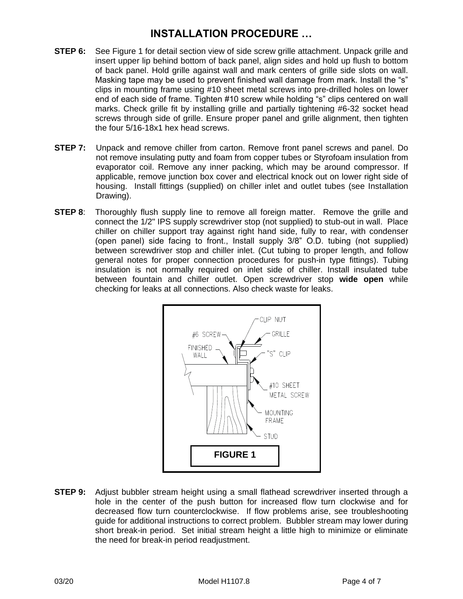# **INSTALLATION PROCEDURE …**

- **STEP 6:** See Figure 1 for detail section view of side screw grille attachment. Unpack grille and insert upper lip behind bottom of back panel, align sides and hold up flush to bottom of back panel. Hold grille against wall and mark centers of grille side slots on wall. Masking tape may be used to prevent finished wall damage from mark. Install the "s" clips in mounting frame using #10 sheet metal screws into pre-drilled holes on lower end of each side of frame. Tighten #10 screw while holding "s" clips centered on wall marks. Check grille fit by installing grille and partially tightening #6-32 socket head screws through side of grille. Ensure proper panel and grille alignment, then tighten the four 5/16-18x1 hex head screws.
- **STEP 7:** Unpack and remove chiller from carton. Remove front panel screws and panel. Do not remove insulating putty and foam from copper tubes or Styrofoam insulation from evaporator coil. Remove any inner packing, which may be around compressor. If applicable, remove junction box cover and electrical knock out on lower right side of housing. Install fittings (supplied) on chiller inlet and outlet tubes (see Installation Drawing).
- **STEP 8:** Thoroughly flush supply line to remove all foreign matter. Remove the grille and connect the 1/2" IPS supply screwdriver stop (not supplied) to stub-out in wall. Place chiller on chiller support tray against right hand side, fully to rear, with condenser (open panel) side facing to front., Install supply 3/8" O.D. tubing (not supplied) between screwdriver stop and chiller inlet. (Cut tubing to proper length, and follow general notes for proper connection procedures for push-in type fittings). Tubing insulation is not normally required on inlet side of chiller. Install insulated tube between fountain and chiller outlet. Open screwdriver stop **wide open** while checking for leaks at all connections. Also check waste for leaks.



**STEP 9:** Adjust bubbler stream height using a small flathead screwdriver inserted through a hole in the center of the push button for increased flow turn clockwise and for decreased flow turn counterclockwise. If flow problems arise, see troubleshooting guide for additional instructions to correct problem. Bubbler stream may lower during short break-in period. Set initial stream height a little high to minimize or eliminate the need for break-in period readjustment.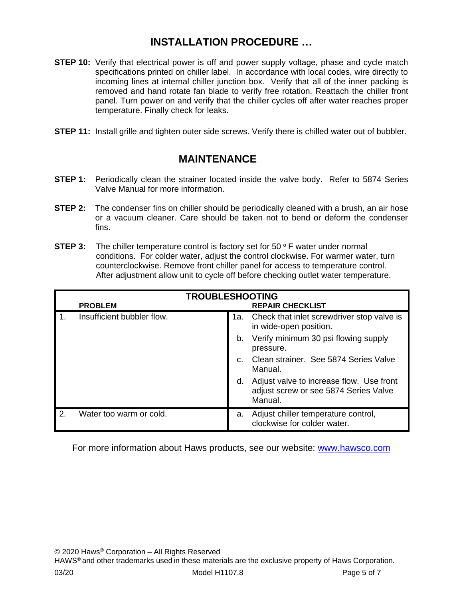# **INSTALLATION PROCEDURE …**

- **STEP 10:** Verify that electrical power is off and power supply voltage, phase and cycle match specifications printed on chiller label. In accordance with local codes, wire directly to incoming lines at internal chiller junction box. Verify that all of the inner packing is removed and hand rotate fan blade to verify free rotation. Reattach the chiller front panel. Turn power on and verify that the chiller cycles off after water reaches proper temperature. Finally check for leaks.
- **STEP 11:** Install grille and tighten outer side screws. Verify there is chilled water out of bubbler.

### **MAINTENANCE**

- **STEP 1:** Periodically clean the strainer located inside the valve body. Refer to 5874 Series Valve Manual for more information.
- **STEP 2:** The condenser fins on chiller should be periodically cleaned with a brush, an air hose or a vacuum cleaner. Care should be taken not to bend or deform the condenser fins.
- **STEP 3:** The chiller temperature control is factory set for 50 ° F water under normal conditions. For colder water, adjust the control clockwise. For warmer water, turn counterclockwise. Remove front chiller panel for access to temperature control. After adjustment allow unit to cycle off before checking outlet water temperature.

| <b>TROUBLESHOOTING</b> |                            |    |                                                                                              |  |
|------------------------|----------------------------|----|----------------------------------------------------------------------------------------------|--|
|                        | <b>PROBLEM</b>             |    | <b>REPAIR CHECKLIST</b>                                                                      |  |
|                        | Insufficient bubbler flow. |    | 1a. Check that inlet screwdriver stop valve is<br>in wide-open position.                     |  |
|                        |                            | b. | Verify minimum 30 psi flowing supply<br>pressure.                                            |  |
|                        |                            |    | Clean strainer. See 5874 Series Valve<br>Manual.                                             |  |
|                        |                            | d. | Adjust valve to increase flow. Use front<br>adjust screw or see 5874 Series Valve<br>Manual. |  |
| 2.                     | Water too warm or cold.    | a. | Adjust chiller temperature control,<br>clockwise for colder water.                           |  |

For more information about Haws products, see our website: [www.hawsco.com](http://www.hawsco.com/)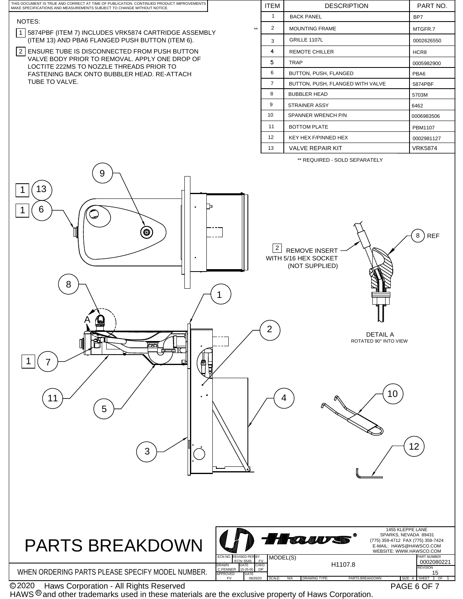

HAWS  $\textcircled{\tiny 8}$  and other trademarks used in these materials are the exclusive property of Haws Corporation.

PAGE 6 OF 7